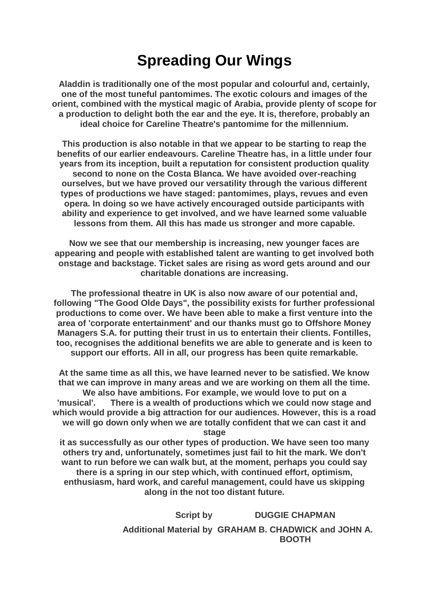## **Spreading Our Wings**

**Aladdin is traditionally one of the most popular and colourful and, certainly, one of the most tuneful pantomimes. The exotic colours and images of the orient, combined with the mystical magic of Arabia, provide plenty of scope for a production to delight both the ear and the eye. It is, therefore, probably an ideal choice for Careline Theatre's pantomime for the millennium.**

**This production is also notable in that we appear to be starting to reap the benefits of our earlier endeavours. Careline Theatre has, in a little under four years from its inception, built a reputation for consistent production quality second to none on the Costa Blanca. We have avoided over-reaching ourselves, but we have proved our versatility through the various different types of productions we have staged: pantomimes, plays, revues and even opera. In doing so we have actively encouraged outside participants with ability and experience to get involved, and we have learned some valuable lessons from them. All this has made us stronger and more capable.**

**Now we see that our membership is increasing, new younger faces are appearing and people with established talent are wanting to get involved both onstage and backstage. Ticket sales are rising as word gets around and our charitable donations are increasing.**

**The professional theatre in UK is also now aware of our potential and, following "The Good Olde Days", the possibility exists for further professional productions to come over. We have been able to make a first venture into the area of 'corporate entertainment' and our thanks must go to Offshore Money Managers S.A. for putting their trust in us to entertain their clients. Fontilles, too, recognises the additional benefits we are able to generate and is keen to support our efforts. All in all, our progress has been quite remarkable.**

**At the same time as all this, we have learned never to be satisfied. We know that we can improve in many areas and we are working on them all the time. We also have ambitions. For example, we would love to put on a 'musical'. There is a wealth of productions which we could now stage and which would provide a big attraction for our audiences. However, this is a road we will go down only when we are totally confident that we can cast it and stage**

**it as successfully as our other types of production. We have seen too many others try and, unfortunately, sometimes just fail to hit the mark. We don't want to run before we can walk but, at the moment, perhaps you could say there is a spring in our step which, with continued effort, optimism, enthusiasm, hard work, and careful management, could have us skipping along in the not too distant future.**

> **Script by DUGGIE CHAPMAN Additional Material by GRAHAM B. CHADWICK and JOHN A. BOOTH**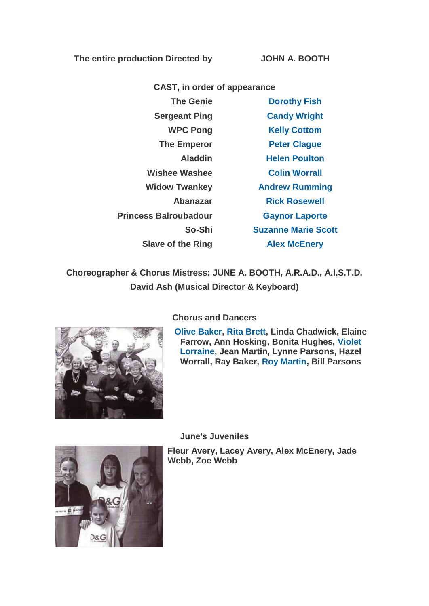**The entire production Directed by JOHN A. BOOTH**

**CAST, in order of appearance The Genie [Dorothy Fish](https://www.carelinetheatre.com/pastprods/aladdin.php#Dorothy) Sergeant Ping [Candy Wright](https://www.carelinetheatre.com/pastprods/aladdin.php#Candy) WPC Pong [Kelly Cottom](https://www.carelinetheatre.com/pastprods/aladdin.php#Kelly) The Emperor [Peter Clague](https://www.carelinetheatre.com/pastprods/aladdin.php#Peter)** 

**Aladdin [Helen Poulton](https://www.carelinetheatre.com/pastprods/aladdin.php#Helen) Wishee Washee [Colin Worrall](https://www.carelinetheatre.com/pastprods/aladdin.php#Colin) Widow Twankey [Andrew Rumming](https://www.carelinetheatre.com/pastprods/aladdin.php#Andrew) Abanazar [Rick Rosewell](https://www.carelinetheatre.com/pastprods/aladdin.php#Rick) Princess Balroubadour [Gaynor Laporte](https://www.carelinetheatre.com/pastprods/aladdin.php#Gaynor) So-Shi [Suzanne Marie Scott](https://www.carelinetheatre.com/pastprods/aladdin.php#Suzanne) Slave of the Ring [Alex McEnery](https://www.carelinetheatre.com/pastprods/aladdin.php#Alex)**

**Choreographer & Chorus Mistress: JUNE A. BOOTH, A.R.A.D., A.I.S.T.D. David Ash (Musical Director & Keyboard)**



**[Olive Baker,](https://www.carelinetheatre.com/pastprods/aladdin.php#Olive) [Rita Brett,](https://www.carelinetheatre.com/pastprods/aladdin.php#Rita) Linda Chadwick, Elaine Farrow, Ann Hosking, Bonita Hughes, [Violet](https://www.carelinetheatre.com/pastprods/aladdin.php#Violet)  [Lorraine,](https://www.carelinetheatre.com/pastprods/aladdin.php#Violet) Jean Martin, Lynne Parsons, Hazel Worrall, Ray Baker, [Roy Martin,](https://www.carelinetheatre.com/pastprods/aladdin.php#Roy) Bill Parsons**

**June's Juveniles**

**Fleur Avery, Lacey Avery, Alex McEnery, Jade Webb, Zoe Webb**



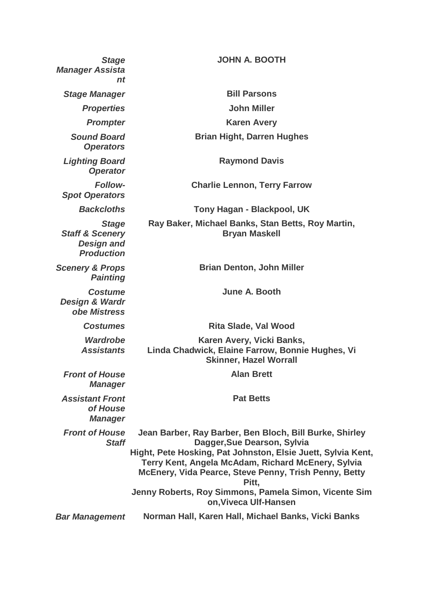| <b>Stage</b><br><b>Manager Assista</b><br>nt                                         | <b>JOHN A. BOOTH</b>                                                                                                                                                                                                                                                           |
|--------------------------------------------------------------------------------------|--------------------------------------------------------------------------------------------------------------------------------------------------------------------------------------------------------------------------------------------------------------------------------|
| <b>Stage Manager</b>                                                                 | <b>Bill Parsons</b>                                                                                                                                                                                                                                                            |
| <b>Properties</b>                                                                    | <b>John Miller</b>                                                                                                                                                                                                                                                             |
| <b>Prompter</b>                                                                      | <b>Karen Avery</b>                                                                                                                                                                                                                                                             |
| <b>Sound Board</b><br><b>Operators</b>                                               | <b>Brian Hight, Darren Hughes</b>                                                                                                                                                                                                                                              |
| <b>Lighting Board</b><br><b>Operator</b>                                             | <b>Raymond Davis</b>                                                                                                                                                                                                                                                           |
| <b>Follow-</b><br><b>Spot Operators</b>                                              | <b>Charlie Lennon, Terry Farrow</b>                                                                                                                                                                                                                                            |
| <b>Backcloths</b>                                                                    | Tony Hagan - Blackpool, UK                                                                                                                                                                                                                                                     |
| <b>Stage</b><br><b>Staff &amp; Scenery</b><br><b>Design and</b><br><b>Production</b> | Ray Baker, Michael Banks, Stan Betts, Roy Martin,<br><b>Bryan Maskell</b>                                                                                                                                                                                                      |
| <b>Scenery &amp; Props</b><br><b>Painting</b>                                        | <b>Brian Denton, John Miller</b>                                                                                                                                                                                                                                               |
| <b>Costume</b><br>Design & Wardr<br>obe Mistress                                     | June A. Booth                                                                                                                                                                                                                                                                  |
| <b>Costumes</b>                                                                      | <b>Rita Slade, Val Wood</b>                                                                                                                                                                                                                                                    |
| <b>Wardrobe</b><br><b>Assistants</b>                                                 | Karen Avery, Vicki Banks,<br>Linda Chadwick, Elaine Farrow, Bonnie Hughes, Vi<br><b>Skinner, Hazel Worrall</b>                                                                                                                                                                 |
| <b>Front of House</b><br><b>Manager</b>                                              | <b>Alan Brett</b>                                                                                                                                                                                                                                                              |
| <b>Assistant Front</b><br>of House<br><b>Manager</b>                                 | <b>Pat Betts</b>                                                                                                                                                                                                                                                               |
| <b>Front of House</b><br><b>Staff</b>                                                | Jean Barber, Ray Barber, Ben Bloch, Bill Burke, Shirley<br>Dagger, Sue Dearson, Sylvia<br>Hight, Pete Hosking, Pat Johnston, Elsie Juett, Sylvia Kent,<br>Terry Kent, Angela McAdam, Richard McEnery, Sylvia<br>McEnery, Vida Pearce, Steve Penny, Trish Penny, Betty<br>Pitt, |
|                                                                                      | Jenny Roberts, Roy Simmons, Pamela Simon, Vicente Sim<br>on, Viveca Ulf-Hansen                                                                                                                                                                                                 |
| <b>Bar Management</b>                                                                | Norman Hall, Karen Hall, Michael Banks, Vicki Banks                                                                                                                                                                                                                            |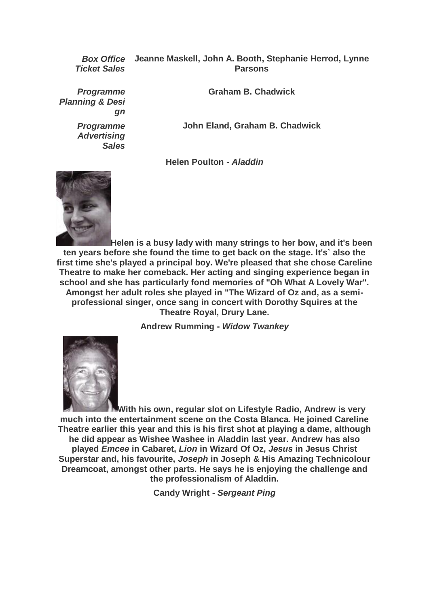*Ticket Sales*

*Box Office*  **Jeanne Maskell, John A. Booth, Stephanie Herrod, Lynne Parsons**

*Programme Planning & Desi gn*

> *Programme Advertising Sales*

**Graham B. Chadwick**

**John Eland, Graham B. Chadwick**

**Helen Poulton -** *Aladdin*



**Helen is a busy lady with many strings to her bow, and it's been ten years before she found the time to get back on the stage. It's` also the first time she's played a principal boy. We're pleased that she chose Careline Theatre to make her comeback. Her acting and singing experience began in school and she has particularly fond memories of "Oh What A Lovely War". Amongst her adult roles she played in "The Wizard of Oz and, as a semiprofessional singer, once sang in concert with Dorothy Squires at the Theatre Royal, Drury Lane.**

**Andrew Rumming -** *Widow Twankey*



**With his own, regular slot on Lifestyle Radio, Andrew is very much into the entertainment scene on the Costa Blanca. He joined Careline Theatre earlier this year and this is his first shot at playing a dame, although he did appear as Wishee Washee in Aladdin last year. Andrew has also played** *Emcee* **in Cabaret,** *Lion* **in Wizard Of Oz,** *Jesus* **in Jesus Christ Superstar and, his favourite,** *Joseph* **in Joseph & His Amazing Technicolour Dreamcoat, amongst other parts. He says he is enjoying the challenge and the professionalism of Aladdin.**

**Candy Wright -** *Sergeant Ping*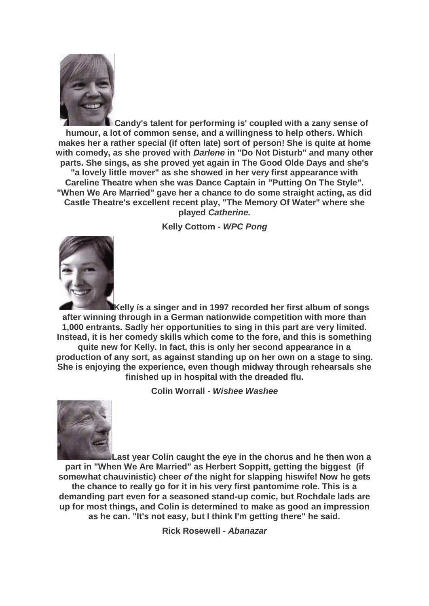

**Candy's talent for performing is' coupled with a zany sense of humour, a lot of common sense, and a willingness to help others. Which makes her a rather special (if often late) sort of person! She is quite at home with comedy, as she proved with** *Darlene* **in "Do Not Disturb" and many other parts. She sings, as she proved yet again in The Good Olde Days and she's "a lovely little mover" as she showed in her very first appearance with Careline Theatre when she was Dance Captain in "Putting On The Style". "When We Are Married" gave her a chance to do some straight acting, as did Castle Theatre's excellent recent play, "The Memory Of Water" where she played** *Catherine.*

**Kelly Cottom -** *WPC Pong*



**Kelly ís a singer and in 1997 recorded her first album of songs after winning through in a German nationwide competition with more than 1,000 entrants. Sadly her opportunities to sing in this part are very limited. Instead, it is her comedy skills which come to the fore, and this is something quite new for Kelly. In fact, this is only her second appearance in a production of any sort, as against standing up on her own on a stage to sing. She is enjoying the experience, even though midway through rehearsals she finished up in hospital with the dreaded flu.**

**Colin Worrall** *- Wishee Washee*



**Last year Colin caught the eye in the chorus and he then won a part in "When We Are Married" as Herbert Soppitt, getting the biggest (if somewhat chauvinistic) cheer** *of* **the night for slapping hiswife! Now he gets the chance to really go for it in his very first pantomime role. This is a demanding part even for a seasoned stand-up comic, but Rochdale lads are up for most things, and Colin is determined to make as good an impression as he can. "It's not easy, but I think I'm getting there" he said.**

**Rick Rosewell -** *Abanazar*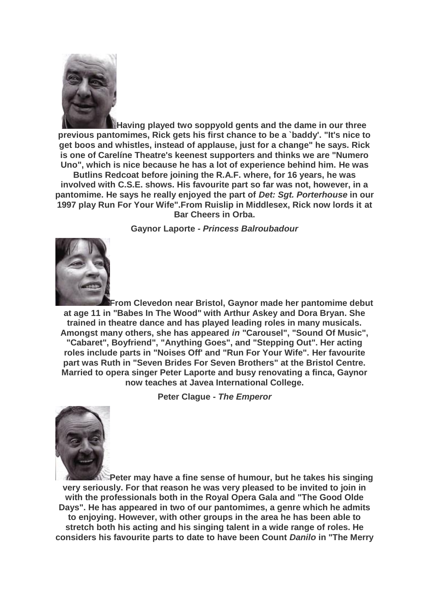

**Having played two soppyold gents and the dame in our three previous pantomimes, Rick gets his first chance to be a `baddy'. "It's nice to get boos and whistles, instead of applause, just for a change" he says. Rick is one of Carelíne Theatre's keenest supporters and thinks we are "Numero Uno", which is nice because he has a lot of experience behind him. He was** 

**Butlins Redcoat before joining the R.A.F. where, for 16 years, he was involved with C.S.E. shows. His favourite part so far was not, however, in a pantomime. He says he really enjoyed the part of** *Det: Sgt. Porterhouse* **in our 1997 play Run For Your Wife".From Ruislip in Middlesex, Rick now lords it at Bar Cheers in Orba.**

**Gaynor Laporte** *- Princess Balroubadour*



**From Clevedon near Bristol, Gaynor made her pantomime debut at age 11 in "Babes In The Wood" with Arthur Askey and Dora Bryan. She trained in theatre dance and has played leading roles in many musicals. Amongst many others, she has appeared** *in* **"Carousel", "Sound Of Music", "Cabaret", Boyfriend", "Anything Goes", and "Stepping Out". Her acting roles include parts in "Noises Off' and "Run For Your Wife". Her favourite part was Ruth in "Seven Brides For Seven Brothers" at the Bristol Centre. Married to opera singer Peter Laporte and busy renovating a finca, Gaynor now teaches at Javea International College.**

**Peter Clague -** *The Emperor*



**Peter may have a fine sense of humour, but he takes his singing very seriously. For that reason he was very pleased to be invited to join in with the professionals both in the Royal Opera Gala and "The Good Olde Days". He has appeared in two of our pantomimes, a genre which he admits to enjoying. However, with other groups in the area he has been able to stretch both his acting and his singing talent in a wide range of roles. He considers his favourite parts to date to have been Count** *Danilo* **in "The Merry**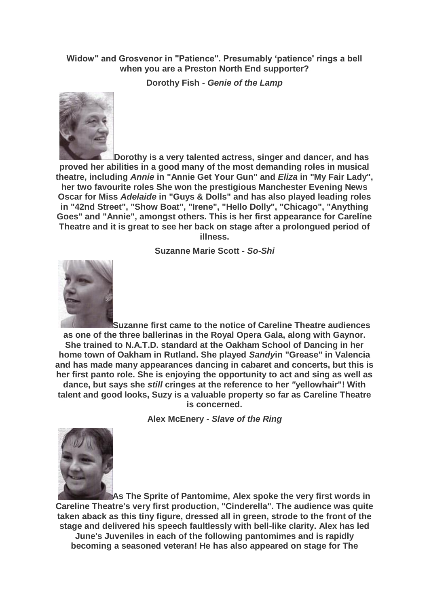## **Widow" and Grosvenor in "Patience". Presumably 'patience' rings a bell when you are a Preston North End supporter?**

**Dorothy Fish -** *Genie of the Lamp*



**Dorothy is a very talented actress, singer and dancer, and has proved her abilities in a good many of the most demanding roles in musical theatre, including** *Annie* **in "Annie Get Your Gun" and** *Eliza* **in "My Fair Lady", her two favourite roles She won the prestigious Manchester Evening News Oscar for Miss** *Adelaide* **in "Guys & Dolls" and has also played leading roles in "42nd Street", "Show Boat", "Irene", "Hello Dolly", "Chicago", "Anything Goes" and "Annie", amongst others. This is her first appearance for Carelíne Theatre and it is great to see her back on stage after a prolongued period of illness.**

**Suzanne Marie Scott -** *So-Shi*



**Suzanne first came to the notice of Careline Theatre audiences as one of the three ballerinas in the Royal Opera Gala, along with Gaynor. She trained to N.A.T.D. standard at the Oakham School of Dancing in her home town of Oakham in Rutland. She played** *Sandy***in "Grease" in Valencia and has made many appearances dancing in cabaret and concerts, but this is her first panto role. She is enjoying the opportunity to act and sing as well as dance, but says she** *still* **cringes at the reference to her** *"***yellowhair"! With talent and good looks, Suzy is a valuable property so far as Careline Theatre is concerned.**

**Alex McEnery -** *Slave of the Ring*



**As The Sprite of Pantomime, Alex spoke the very first words in Careline Theatre's very first production, "Cinderella". The audience was quite taken aback as this tiny figure, dressed all in green, strode to the front of the stage and delivered his speech faultlessly with bell-like clarity. Alex has led June's Juveniles in each of the following pantomimes and is rapidly becoming a seasoned veteran! He has also appeared on stage for The**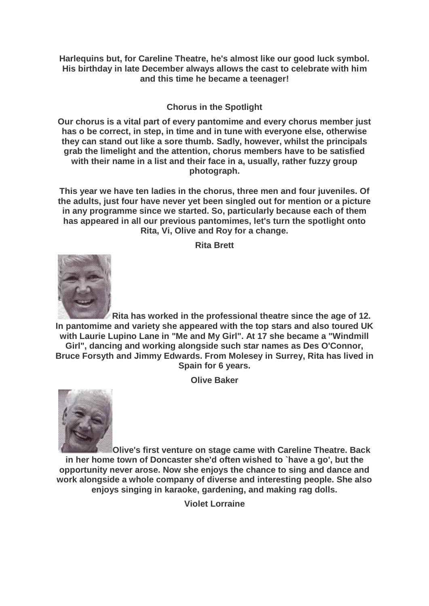**Harlequins but, for Careline Theatre, he's almost like our good luck symbol. His birthday in late December always allows the cast to celebrate with him and this time he became a teenager!**

## **Chorus in the Spotlight**

**Our chorus is a vital part of every pantomime and every chorus member just has o be correct, in step, in time and in tune with everyone else, otherwise they can stand out like a sore thumb. Sadly, however, whilst the principals grab the limelight and the attention, chorus members have to be satisfied with their name in a list and their face in a, usually, rather fuzzy group photograph.**

**This year we have ten ladies in the chorus, three men and four juveniles. Of the adults, just four have never yet been singled out for mention or a picture in any programme since we started. So, particularly because each of them has appeared in all our previous pantomimes, let's turn the spotlight onto Rita, Vi, Olive and Roy for a change.**

**Rita Brett**



**Rita has worked in the professional theatre since the age of 12. In pantomime and variety she appeared with the top stars and also toured UK with Laurie Lupino Lane in "Me and My Girl". At 17 she became a "Windmill Girl", dancing and working alongside such star names as Des O'Connor, Bruce Forsyth and Jimmy Edwards. From Molesey in Surrey, Rita has lived in Spain for 6 years.**

**Olive Baker**



**Olive's first venture on stage came with Careline Theatre. Back in her home town of Doncaster she'd often wished to `have a go', but the opportunity never arose. Now she enjoys the chance to sing and dance and work alongside a whole company of diverse and interesting people. She also enjoys singing in karaoke, gardening, and making rag dolls.**

**Violet Lorraine**